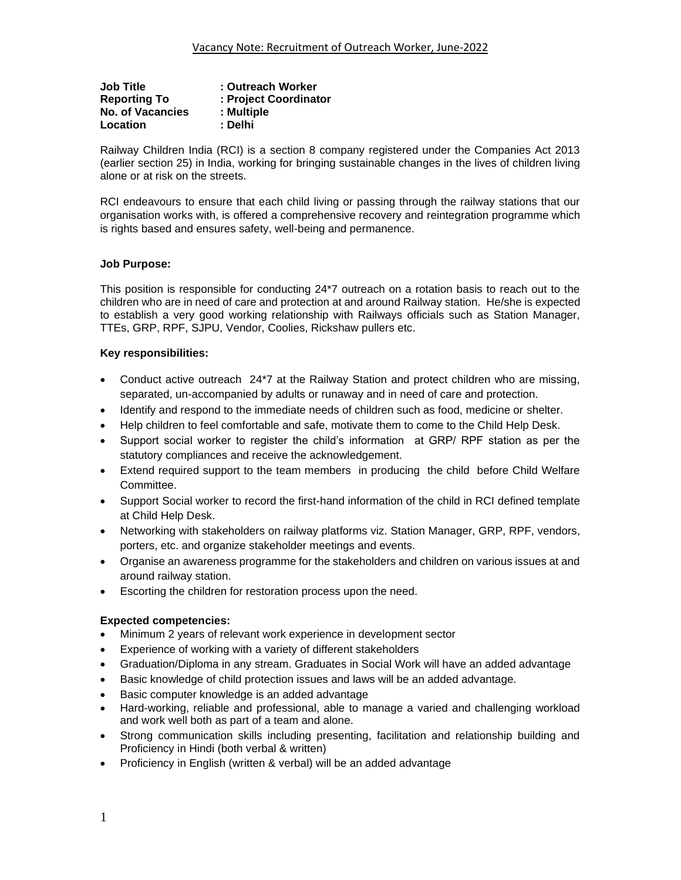| <b>Job Title</b>        | : Outreach Worker     |
|-------------------------|-----------------------|
| <b>Reporting To</b>     | : Project Coordinator |
| <b>No. of Vacancies</b> | : Multiple            |
| Location                | : Delhi               |

Railway Children India (RCI) is a section 8 company registered under the Companies Act 2013 (earlier section 25) in India, working for bringing sustainable changes in the lives of children living alone or at risk on the streets.

RCI endeavours to ensure that each child living or passing through the railway stations that our organisation works with, is offered a comprehensive recovery and reintegration programme which is rights based and ensures safety, well-being and permanence.

# **Job Purpose:**

This position is responsible for conducting 24\*7 outreach on a rotation basis to reach out to the children who are in need of care and protection at and around Railway station. He/she is expected to establish a very good working relationship with Railways officials such as Station Manager, TTEs, GRP, RPF, SJPU, Vendor, Coolies, Rickshaw pullers etc.

### **Key responsibilities:**

- Conduct active outreach 24\*7 at the Railway Station and protect children who are missing, separated, un-accompanied by adults or runaway and in need of care and protection.
- Identify and respond to the immediate needs of children such as food, medicine or shelter.
- Help children to feel comfortable and safe, motivate them to come to the Child Help Desk.
- Support social worker to register the child's information at GRP/ RPF station as per the statutory compliances and receive the acknowledgement.
- Extend required support to the team members in producing the child before Child Welfare Committee.
- Support Social worker to record the first-hand information of the child in RCI defined template at Child Help Desk.
- Networking with stakeholders on railway platforms viz. Station Manager, GRP, RPF, vendors, porters, etc. and organize stakeholder meetings and events.
- Organise an awareness programme for the stakeholders and children on various issues at and around railway station.
- Escorting the children for restoration process upon the need.

# **Expected competencies:**

- Minimum 2 years of relevant work experience in development sector
- Experience of working with a variety of different stakeholders
- Graduation/Diploma in any stream. Graduates in Social Work will have an added advantage
- Basic knowledge of child protection issues and laws will be an added advantage.
- Basic computer knowledge is an added advantage
- Hard-working, reliable and professional, able to manage a varied and challenging workload and work well both as part of a team and alone.
- Strong communication skills including presenting, facilitation and relationship building and Proficiency in Hindi (both verbal & written)
- Proficiency in English (written & verbal) will be an added advantage